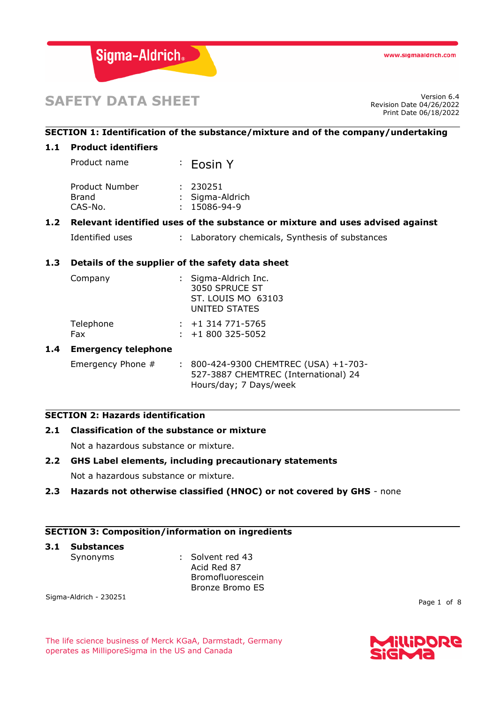

# **SAFETY DATA SHEET**

Revision Date 04/26/2022 Print Date 06/18/2022

# **SECTION 1: Identification of the substance/mixture and of the company/undertaking**

#### **1.1 Product identifiers**

Product name : Fosin Y Product Number : 230251

| Brand   | : Sigma-Aldrich    |
|---------|--------------------|
| CAS-No. | $: 15086 - 94 - 9$ |

## **1.2 Relevant identified uses of the substance or mixture and uses advised against**

Identified uses : Laboratory chemicals, Synthesis of substances

## **1.3 Details of the supplier of the safety data sheet**

| Company                 | : Sigma-Aldrich Inc.<br>3050 SPRUCE ST<br>ST. LOUIS MO 63103<br>UNITED STATES |
|-------------------------|-------------------------------------------------------------------------------|
| Telephone<br><b>Fax</b> | $: +1314771 - 5765$<br>$\div$ +1 800 325-5052                                 |

#### **1.4 Emergency telephone**

Emergency Phone # : 800-424-9300 CHEMTREC (USA) +1-703-527-3887 CHEMTREC (International) 24 Hours/day; 7 Days/week

#### **SECTION 2: Hazards identification**

# **2.1 Classification of the substance or mixture**

Not a hazardous substance or mixture.

## **2.2 GHS Label elements, including precautionary statements**

Not a hazardous substance or mixture.

## **2.3 Hazards not otherwise classified (HNOC) or not covered by GHS** - none

## **SECTION 3: Composition/information on ingredients**

#### **3.1 Substances**

Synonyms : Solvent red 43 Acid Red 87 Bromofluorescein Bronze Bromo ES

Sigma-Aldrich - 230251

Page 1 of 8

The life science business of Merck KGaA, Darmstadt, Germany operates as MilliporeSigma in the US and Canada

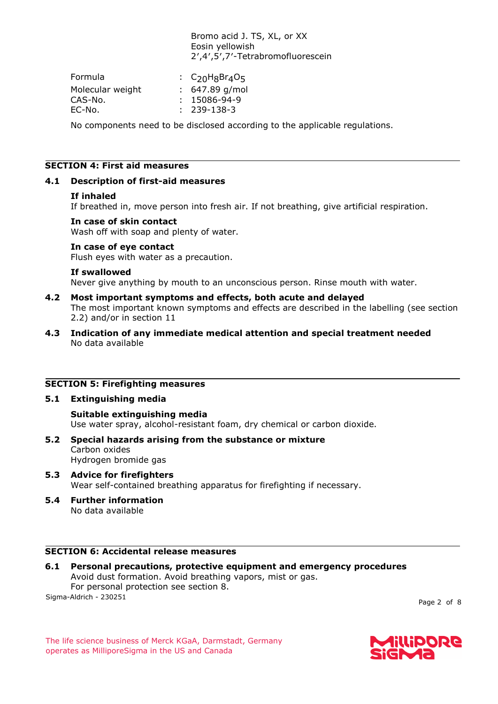Bromo acid J. TS, XL, or XX Eosin yellowish 2′,4′,5′,7′-Tetrabromofluorescein

| : $C_{20}H_8Br_4O_5$ |
|----------------------|
| $: 647.89$ g/mol     |
| $: 15086 - 94 - 9$   |
| $: 239-138-3$        |
|                      |

No components need to be disclosed according to the applicable regulations.

## **SECTION 4: First aid measures**

#### **4.1 Description of first-aid measures**

#### **If inhaled**

If breathed in, move person into fresh air. If not breathing, give artificial respiration.

#### **In case of skin contact**

Wash off with soap and plenty of water.

#### **In case of eye contact**

Flush eyes with water as a precaution.

#### **If swallowed**

Never give anything by mouth to an unconscious person. Rinse mouth with water.

- **4.2 Most important symptoms and effects, both acute and delayed** The most important known symptoms and effects are described in the labelling (see section 2.2) and/or in section 11
- **4.3 Indication of any immediate medical attention and special treatment needed** No data available

## **SECTION 5: Firefighting measures**

#### **5.1 Extinguishing media**

**Suitable extinguishing media** Use water spray, alcohol-resistant foam, dry chemical or carbon dioxide.

- **5.2 Special hazards arising from the substance or mixture** Carbon oxides Hydrogen bromide gas
- **5.3 Advice for firefighters** Wear self-contained breathing apparatus for firefighting if necessary.
- **5.4 Further information** No data available

## **SECTION 6: Accidental release measures**

Sigma-Aldrich - 230251 **6.1 Personal precautions, protective equipment and emergency procedures** Avoid dust formation. Avoid breathing vapors, mist or gas. For personal protection see section 8.

Page 2 of 8

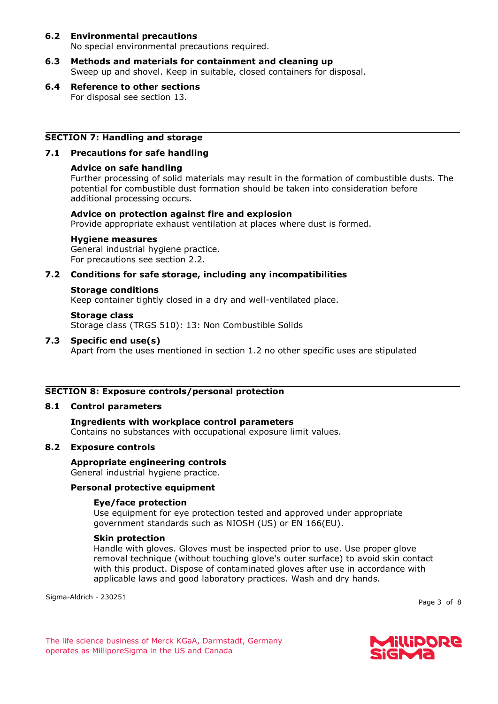## **6.2 Environmental precautions**

No special environmental precautions required.

- **6.3 Methods and materials for containment and cleaning up** Sweep up and shovel. Keep in suitable, closed containers for disposal.
- **6.4 Reference to other sections** For disposal see section 13.

#### **SECTION 7: Handling and storage**

#### **7.1 Precautions for safe handling**

#### **Advice on safe handling**

Further processing of solid materials may result in the formation of combustible dusts. The potential for combustible dust formation should be taken into consideration before additional processing occurs.

#### **Advice on protection against fire and explosion**

Provide appropriate exhaust ventilation at places where dust is formed.

#### **Hygiene measures**

General industrial hygiene practice. For precautions see section 2.2.

#### **7.2 Conditions for safe storage, including any incompatibilities**

#### **Storage conditions**

Keep container tightly closed in a dry and well-ventilated place.

#### **Storage class**

Storage class (TRGS 510): 13: Non Combustible Solids

#### **7.3 Specific end use(s)**

Apart from the uses mentioned in section 1.2 no other specific uses are stipulated

## **SECTION 8: Exposure controls/personal protection**

#### **8.1 Control parameters**

**Ingredients with workplace control parameters** Contains no substances with occupational exposure limit values.

## **8.2 Exposure controls**

## **Appropriate engineering controls**

General industrial hygiene practice.

#### **Personal protective equipment**

## **Eye/face protection**

Use equipment for eye protection tested and approved under appropriate government standards such as NIOSH (US) or EN 166(EU).

#### **Skin protection**

Handle with gloves. Gloves must be inspected prior to use. Use proper glove removal technique (without touching glove's outer surface) to avoid skin contact with this product. Dispose of contaminated gloves after use in accordance with applicable laws and good laboratory practices. Wash and dry hands.

Sigma-Aldrich - 230251

Page 3 of 8

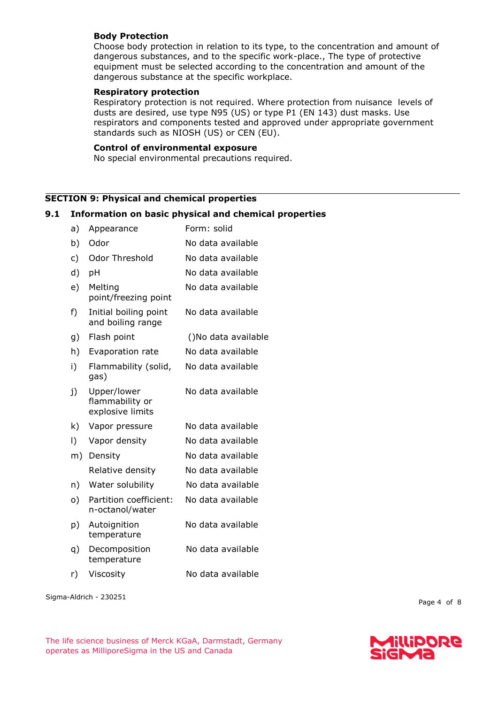## **Body Protection**

Choose body protection in relation to its type, to the concentration and amount of dangerous substances, and to the specific work-place., The type of protective equipment must be selected according to the concentration and amount of the dangerous substance at the specific workplace.

## **Respiratory protection**

Respiratory protection is not required. Where protection from nuisance levels of dusts are desired, use type N95 (US) or type P1 (EN 143) dust masks. Use respirators and components tested and approved under appropriate government standards such as NIOSH (US) or CEN (EU).

## **Control of environmental exposure**

No special environmental precautions required.

# **SECTION 9: Physical and chemical properties**

## **9.1 Information on basic physical and chemical properties**

| a)        | Appearance                                         | Form: solid         |
|-----------|----------------------------------------------------|---------------------|
| b)        | Odor                                               | No data available   |
| c)        | <b>Odor Threshold</b>                              | No data available   |
| d)        | pH                                                 | No data available   |
| e)        | Melting<br>point/freezing point                    | No data available   |
| f)        | Initial boiling point<br>and boiling range         | No data available   |
| g)        | Flash point                                        | ()No data available |
| h)        | Evaporation rate                                   | No data available   |
| i)        | Flammability (solid,<br>gas)                       | No data available   |
| j)        | Upper/lower<br>flammability or<br>explosive limits | No data available   |
| k)        | Vapor pressure                                     | No data available   |
| $\vert$ ) | Vapor density                                      | No data available   |
| m)        | Density                                            | No data available   |
|           | Relative density                                   | No data available   |
| n)        | Water solubility                                   | No data available   |
| o)        | Partition coefficient:<br>n-octanol/water          | No data available   |
| p)        | Autoignition<br>temperature                        | No data available   |
| q)        | Decomposition<br>temperature                       | No data available   |
| r)        | Viscosity                                          | No data available   |

Sigma-Aldrich - 230251

Page 4 of 8

The life science business of Merck KGaA, Darmstadt, Germany operates as MilliporeSigma in the US and Canada

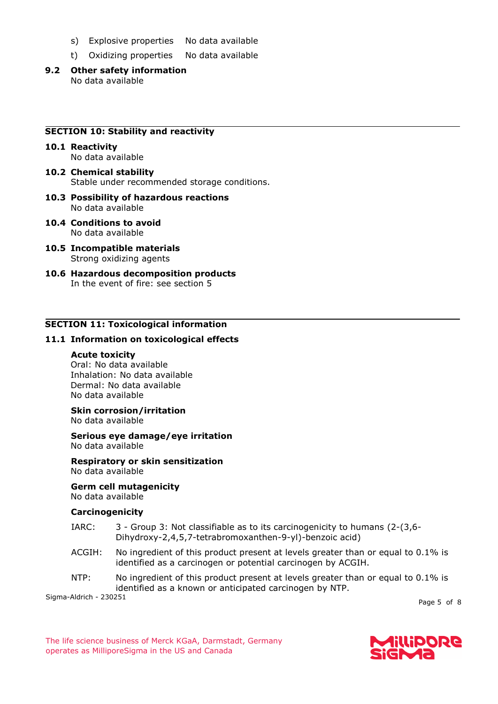- s) Explosive properties No data available
- t) Oxidizing properties No data available
- **9.2 Other safety information** No data available

#### **SECTION 10: Stability and reactivity**

- **10.1 Reactivity** No data available
- **10.2 Chemical stability** Stable under recommended storage conditions.
- **10.3 Possibility of hazardous reactions** No data available
- **10.4 Conditions to avoid** No data available
- **10.5 Incompatible materials** Strong oxidizing agents
- **10.6 Hazardous decomposition products** In the event of fire: see section 5

## **SECTION 11: Toxicological information**

#### **11.1 Information on toxicological effects**

#### **Acute toxicity**

Oral: No data available Inhalation: No data available Dermal: No data available No data available

#### **Skin corrosion/irritation** No data available

**Serious eye damage/eye irritation** No data available

**Respiratory or skin sensitization** No data available

**Germ cell mutagenicity** No data available

#### **Carcinogenicity**

- IARC: 3 Group 3: Not classifiable as to its carcinogenicity to humans (2-(3,6- Dihydroxy-2,4,5,7-tetrabromoxanthen-9-yl)-benzoic acid)
- ACGIH: No ingredient of this product present at levels greater than or equal to 0.1% is identified as a carcinogen or potential carcinogen by ACGIH.
- NTP: No ingredient of this product present at levels greater than or equal to 0.1% is identified as a known or anticipated carcinogen by NTP.

Sigma-Aldrich - 230251

Page 5 of 8

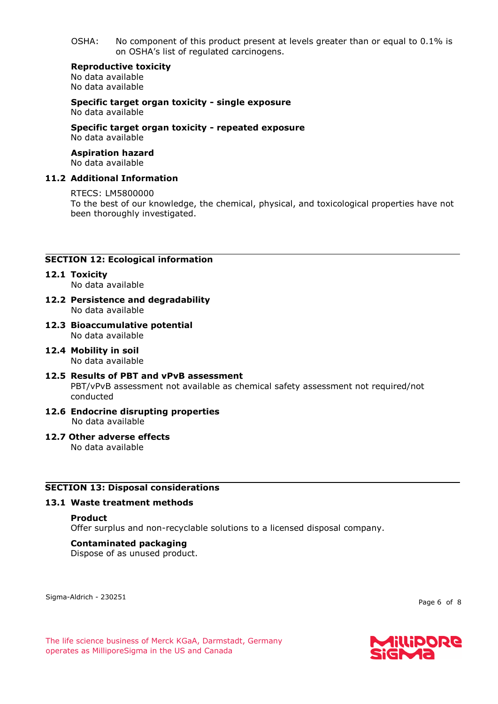OSHA: No component of this product present at levels greater than or equal to 0.1% is on OSHA's list of regulated carcinogens.

#### **Reproductive toxicity**

No data available No data available

**Specific target organ toxicity - single exposure** No data available

**Specific target organ toxicity - repeated exposure** No data available

#### **Aspiration hazard**

No data available

## **11.2 Additional Information**

RTECS: LM5800000

To the best of our knowledge, the chemical, physical, and toxicological properties have not been thoroughly investigated.

## **SECTION 12: Ecological information**

**12.1 Toxicity**

No data available

- **12.2 Persistence and degradability** No data available
- **12.3 Bioaccumulative potential** No data available

#### **12.4 Mobility in soil** No data available

- **12.5 Results of PBT and vPvB assessment** PBT/vPvB assessment not available as chemical safety assessment not required/not conducted
- **12.6 Endocrine disrupting properties** No data available

#### **12.7 Other adverse effects** No data available

# **SECTION 13: Disposal considerations**

## **13.1 Waste treatment methods**

#### **Product**

Offer surplus and non-recyclable solutions to a licensed disposal company.

## **Contaminated packaging**

Dispose of as unused product.

Sigma-Aldrich - 230251

Page 6 of 8

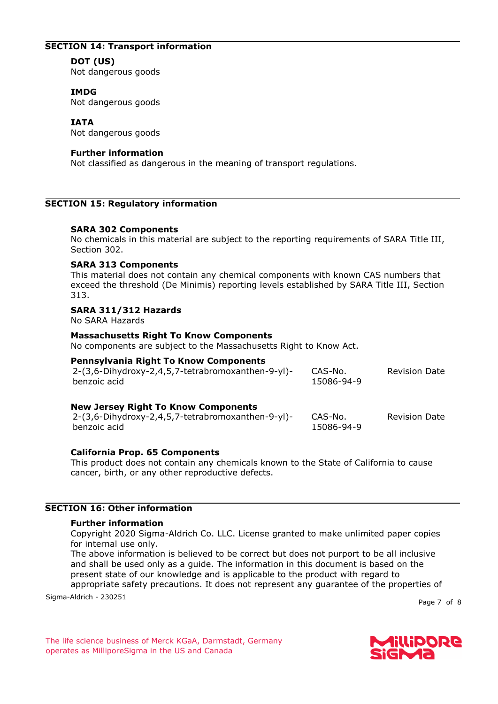## **SECTION 14: Transport information**

## **DOT (US)**

Not dangerous goods

## **IMDG**

Not dangerous goods

# **IATA**

Not dangerous goods

## **Further information**

Not classified as dangerous in the meaning of transport regulations.

## **SECTION 15: Regulatory information**

## **SARA 302 Components**

No chemicals in this material are subject to the reporting requirements of SARA Title III, Section 302.

## **SARA 313 Components**

This material does not contain any chemical components with known CAS numbers that exceed the threshold (De Minimis) reporting levels established by SARA Title III, Section 313.

## **SARA 311/312 Hazards**

No SARA Hazards

## **Massachusetts Right To Know Components**

No components are subject to the Massachusetts Right to Know Act.

# **Pennsylvania Right To Know Components**

| 2-(3,6-Dihydroxy-2,4,5,7-tetrabromoxanthen-9-yl)- | CAS-No.    | <b>Revision Date</b> |
|---------------------------------------------------|------------|----------------------|
| benzoic acid                                      | 15086-94-9 |                      |
|                                                   |            |                      |

## **New Jersey Right To Know Components**

| 2-(3,6-Dihydroxy-2,4,5,7-tetrabromoxanthen-9-yl)- | CAS-No.    | <b>Revision Date</b> |
|---------------------------------------------------|------------|----------------------|
| benzoic acid                                      | 15086-94-9 |                      |

## **California Prop. 65 Components**

This product does not contain any chemicals known to the State of California to cause cancer, birth, or any other reproductive defects.

# **SECTION 16: Other information**

## **Further information**

Copyright 2020 Sigma-Aldrich Co. LLC. License granted to make unlimited paper copies for internal use only.

The above information is believed to be correct but does not purport to be all inclusive and shall be used only as a guide. The information in this document is based on the present state of our knowledge and is applicable to the product with regard to appropriate safety precautions. It does not represent any guarantee of the properties of

Sigma-Aldrich - 230251

Page 7 of 8